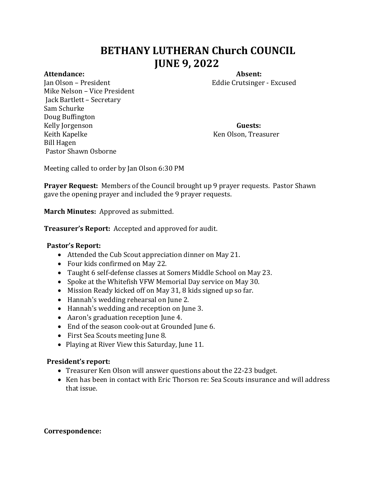# **BETHANY LUTHERAN Church COUNCIL JUNE 9, 2022**

Jan Olson – President Eddie Crutsinger - Excused Mike Nelson – Vice President Jack Bartlett – Secretary Sam Schurke Doug Buffington Kelly Jorgenson **Guests:**  Keith Kapelke Ken Olson, Treasurer Bill Hagen Pastor Shawn Osborne

Attendance: **Absent: Absent: Absent: Absent: Absent: Absent: Absent: Absent: Absent: Absent: Absent: Absent: Absent: Absent: Absent: Absent: Absent: Absent: Absent: Absent: Absent:**

Meeting called to order by Jan Olson 6:30 PM

**Prayer Request:** Members of the Council brought up 9 prayer requests. Pastor Shawn gave the opening prayer and included the 9 prayer requests.

**March Minutes:** Approved as submitted.

**Treasurer's Report:** Accepted and approved for audit.

#### **Pastor's Report:**

- Attended the Cub Scout appreciation dinner on May 21.
- Four kids confirmed on May 22.
- Taught 6 self-defense classes at Somers Middle School on May 23.
- Spoke at the Whitefish VFW Memorial Day service on May 30.
- Mission Ready kicked off on May 31, 8 kids signed up so far.
- Hannah's wedding rehearsal on June 2.
- Hannah's wedding and reception on June 3.
- Aaron's graduation reception June 4.
- End of the season cook-out at Grounded June 6.
- First Sea Scouts meeting June 8.
- Playing at River View this Saturday, June 11.

#### **President's report:**

- Treasurer Ken Olson will answer questions about the 22-23 budget.
- Ken has been in contact with Eric Thorson re: Sea Scouts insurance and will address that issue.

#### **Correspondence:**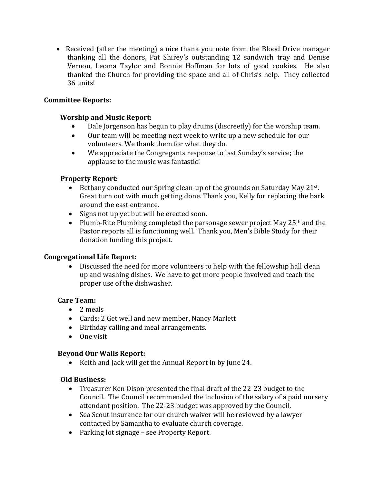Received (after the meeting) a nice thank you note from the Blood Drive manager thanking all the donors, Pat Shirey's outstanding 12 sandwich tray and Denise Vernon, Leoma Taylor and Bonnie Hoffman for lots of good cookies. He also thanked the Church for providing the space and all of Chris's help. They collected 36 units!

# **Committee Reports:**

# **Worship and Music Report:**

- Dale Jorgenson has begun to play drums (discreetly) for the worship team.
- Our team will be meeting next week to write up a new schedule for our volunteers. We thank them for what they do.
- We appreciate the Congregants response to last Sunday's service; the applause to the music was fantastic!

# **Property Report:**

- Bethany conducted our Spring clean-up of the grounds on Saturday May 21st. Great turn out with much getting done. Thank you, Kelly for replacing the bark around the east entrance.
- Signs not up yet but will be erected soon.
- Plumb-Rite Plumbing completed the parsonage sewer project May 25<sup>th</sup> and the Pastor reports all is functioning well. Thank you, Men's Bible Study for their donation funding this project.

# **Congregational Life Report:**

 Discussed the need for more volunteers to help with the fellowship hall clean up and washing dishes. We have to get more people involved and teach the proper use of the dishwasher.

# **Care Team:**

- 2 meals
- Cards: 2 Get well and new member, Nancy Marlett
- Birthday calling and meal arrangements.
- $\bullet$  One visit

# **Beyond Our Walls Report:**

• Keith and Jack will get the Annual Report in by June 24.

# **Old Business:**

- Treasurer Ken Olson presented the final draft of the 22-23 budget to the Council. The Council recommended the inclusion of the salary of a paid nursery attendant position. The 22-23 budget was approved by the Council.
- Sea Scout insurance for our church waiver will be reviewed by a lawyer contacted by Samantha to evaluate church coverage.
- Parking lot signage see Property Report.